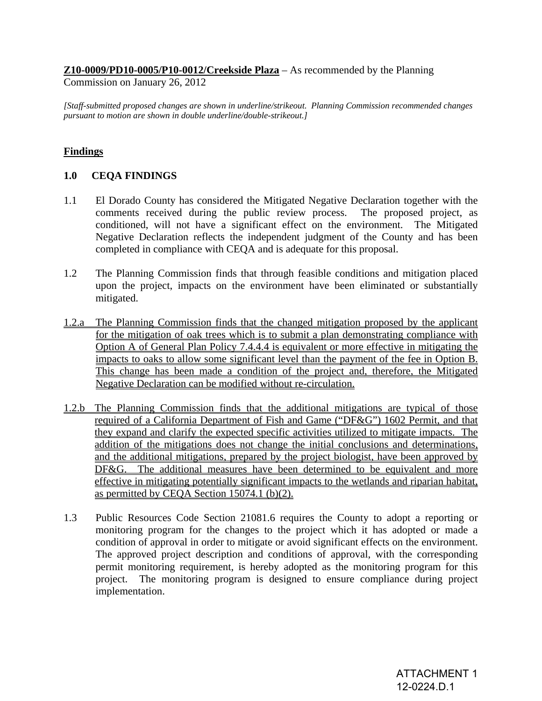# **Z10-0009/PD10-0005/P10-0012/Creekside Plaza** – As recommended by the Planning

Commission on January 26, 2012

*[Staff-submitted proposed changes are shown in underline/strikeout. Planning Commission recommended changes pursuant to motion are shown in double underline/double-strikeout.]* 

# **Findings**

### **1.0 CEQA FINDINGS**

- 1.1 El Dorado County has considered the Mitigated Negative Declaration together with the comments received during the public review process. The proposed project, as conditioned, will not have a significant effect on the environment. The Mitigated Negative Declaration reflects the independent judgment of the County and has been completed in compliance with CEQA and is adequate for this proposal.
- 1.2 The Planning Commission finds that through feasible conditions and mitigation placed upon the project, impacts on the environment have been eliminated or substantially mitigated.
- 1.2.a The Planning Commission finds that the changed mitigation proposed by the applicant for the mitigation of oak trees which is to submit a plan demonstrating compliance with Option A of General Plan Policy 7.4.4.4 is equivalent or more effective in mitigating the impacts to oaks to allow some significant level than the payment of the fee in Option B. This change has been made a condition of the project and, therefore, the Mitigated Negative Declaration can be modified without re-circulation.
- 1.2.b The Planning Commission finds that the additional mitigations are typical of those required of a California Department of Fish and Game ("DF&G") 1602 Permit, and that they expand and clarify the expected specific activities utilized to mitigate impacts. The addition of the mitigations does not change the initial conclusions and determinations, and the additional mitigations, prepared by the project biologist, have been approved by DF&G. The additional measures have been determined to be equivalent and more effective in mitigating potentially significant impacts to the wetlands and riparian habitat, as permitted by CEQA Section 15074.1 (b)(2).
- 1.3 Public Resources Code Section 21081.6 requires the County to adopt a reporting or monitoring program for the changes to the project which it has adopted or made a condition of approval in order to mitigate or avoid significant effects on the environment. The approved project description and conditions of approval, with the corresponding permit monitoring requirement, is hereby adopted as the monitoring program for this project. The monitoring program is designed to ensure compliance during project implementation.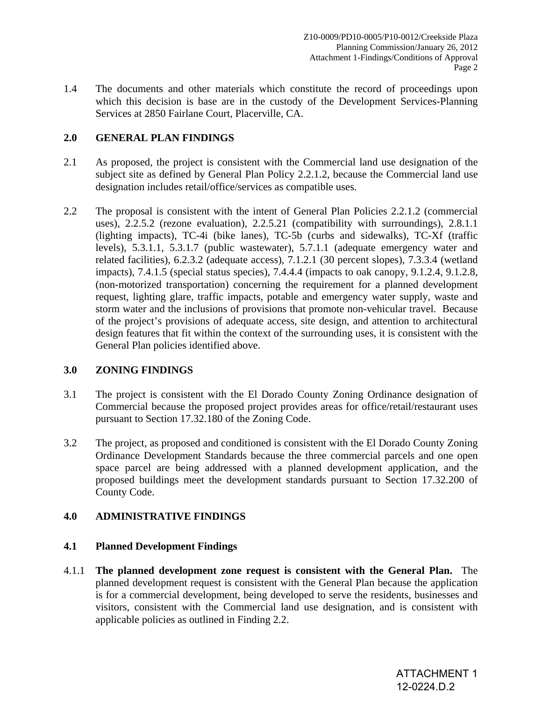1.4 The documents and other materials which constitute the record of proceedings upon which this decision is base are in the custody of the Development Services-Planning Services at 2850 Fairlane Court, Placerville, CA.

# **2.0 GENERAL PLAN FINDINGS**

- 2.1 As proposed, the project is consistent with the Commercial land use designation of the subject site as defined by General Plan Policy 2.2.1.2, because the Commercial land use designation includes retail/office/services as compatible uses.
- 2.2 The proposal is consistent with the intent of General Plan Policies 2.2.1.2 (commercial uses), 2.2.5.2 (rezone evaluation), 2.2.5.21 (compatibility with surroundings), 2.8.1.1 (lighting impacts), TC-4i (bike lanes), TC-5b (curbs and sidewalks), TC-Xf (traffic levels), 5.3.1.1, 5.3.1.7 (public wastewater), 5.7.1.1 (adequate emergency water and related facilities), 6.2.3.2 (adequate access), 7.1.2.1 (30 percent slopes), 7.3.3.4 (wetland impacts), 7.4.1.5 (special status species), 7.4.4.4 (impacts to oak canopy, 9.1.2.4, 9.1.2.8, (non-motorized transportation) concerning the requirement for a planned development request, lighting glare, traffic impacts, potable and emergency water supply, waste and storm water and the inclusions of provisions that promote non-vehicular travel. Because of the project's provisions of adequate access, site design, and attention to architectural design features that fit within the context of the surrounding uses, it is consistent with the General Plan policies identified above.

# **3.0 ZONING FINDINGS**

- 3.1 The project is consistent with the El Dorado County Zoning Ordinance designation of Commercial because the proposed project provides areas for office/retail/restaurant uses pursuant to Section 17.32.180 of the Zoning Code.
- 3.2 The project, as proposed and conditioned is consistent with the El Dorado County Zoning Ordinance Development Standards because the three commercial parcels and one open space parcel are being addressed with a planned development application, and the proposed buildings meet the development standards pursuant to Section 17.32.200 of County Code.

# **4.0 ADMINISTRATIVE FINDINGS**

# **4.1 Planned Development Findings**

4.1.1 **The planned development zone request is consistent with the General Plan.** The planned development request is consistent with the General Plan because the application is for a commercial development, being developed to serve the residents, businesses and visitors, consistent with the Commercial land use designation, and is consistent with applicable policies as outlined in Finding 2.2.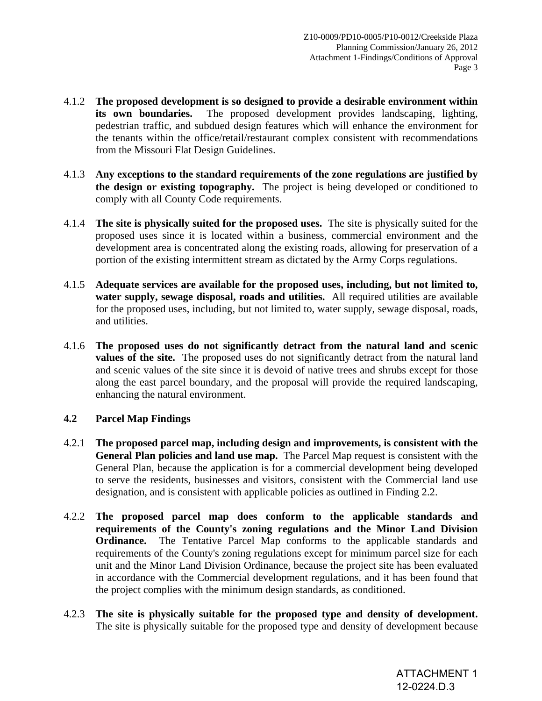- 4.1.2 **The proposed development is so designed to provide a desirable environment within its own boundaries.** The proposed development provides landscaping, lighting, pedestrian traffic, and subdued design features which will enhance the environment for the tenants within the office/retail/restaurant complex consistent with recommendations from the Missouri Flat Design Guidelines.
- 4.1.3 **Any exceptions to the standard requirements of the zone regulations are justified by the design or existing topography.** The project is being developed or conditioned to comply with all County Code requirements.
- 4.1.4 **The site is physically suited for the proposed uses.** The site is physically suited for the proposed uses since it is located within a business, commercial environment and the development area is concentrated along the existing roads, allowing for preservation of a portion of the existing intermittent stream as dictated by the Army Corps regulations.
- 4.1.5 **Adequate services are available for the proposed uses, including, but not limited to, water supply, sewage disposal, roads and utilities.** All required utilities are available for the proposed uses, including, but not limited to, water supply, sewage disposal, roads, and utilities.
- 4.1.6 **The proposed uses do not significantly detract from the natural land and scenic values of the site.** The proposed uses do not significantly detract from the natural land and scenic values of the site since it is devoid of native trees and shrubs except for those along the east parcel boundary, and the proposal will provide the required landscaping, enhancing the natural environment.

# **4.2 Parcel Map Findings**

- 4.2.1 **The proposed parcel map, including design and improvements, is consistent with the General Plan policies and land use map.** The Parcel Map request is consistent with the General Plan, because the application is for a commercial development being developed to serve the residents, businesses and visitors, consistent with the Commercial land use designation, and is consistent with applicable policies as outlined in Finding 2.2.
- 4.2.2 **The proposed parcel map does conform to the applicable standards and requirements of the County's zoning regulations and the Minor Land Division Ordinance.** The Tentative Parcel Map conforms to the applicable standards and requirements of the County's zoning regulations except for minimum parcel size for each unit and the Minor Land Division Ordinance, because the project site has been evaluated in accordance with the Commercial development regulations, and it has been found that the project complies with the minimum design standards, as conditioned.
- 4.2.3 **The site is physically suitable for the proposed type and density of development.**  The site is physically suitable for the proposed type and density of development because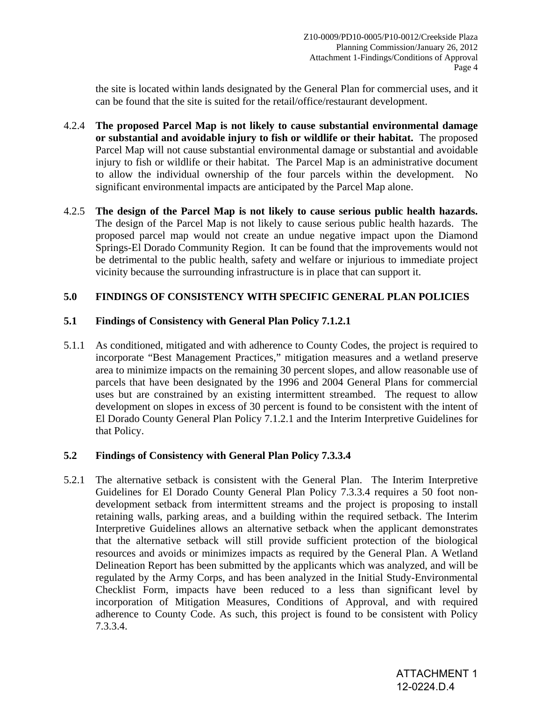the site is located within lands designated by the General Plan for commercial uses, and it can be found that the site is suited for the retail/office/restaurant development.

- 4.2.4 **The proposed Parcel Map is not likely to cause substantial environmental damage or substantial and avoidable injury to fish or wildlife or their habitat.** The proposed Parcel Map will not cause substantial environmental damage or substantial and avoidable injury to fish or wildlife or their habitat. The Parcel Map is an administrative document to allow the individual ownership of the four parcels within the development. No significant environmental impacts are anticipated by the Parcel Map alone.
- 4.2.5 **The design of the Parcel Map is not likely to cause serious public health hazards.** The design of the Parcel Map is not likely to cause serious public health hazards. The proposed parcel map would not create an undue negative impact upon the Diamond Springs-El Dorado Community Region. It can be found that the improvements would not be detrimental to the public health, safety and welfare or injurious to immediate project vicinity because the surrounding infrastructure is in place that can support it.

## **5.0 FINDINGS OF CONSISTENCY WITH SPECIFIC GENERAL PLAN POLICIES**

## **5.1 Findings of Consistency with General Plan Policy 7.1.2.1**

5.1.1 As conditioned, mitigated and with adherence to County Codes, the project is required to incorporate "Best Management Practices," mitigation measures and a wetland preserve area to minimize impacts on the remaining 30 percent slopes, and allow reasonable use of parcels that have been designated by the 1996 and 2004 General Plans for commercial uses but are constrained by an existing intermittent streambed. The request to allow development on slopes in excess of 30 percent is found to be consistent with the intent of El Dorado County General Plan Policy 7.1.2.1 and the Interim Interpretive Guidelines for that Policy.

# **5.2 Findings of Consistency with General Plan Policy 7.3.3.4**

5.2.1 The alternative setback is consistent with the General Plan. The Interim Interpretive Guidelines for El Dorado County General Plan Policy 7.3.3.4 requires a 50 foot nondevelopment setback from intermittent streams and the project is proposing to install retaining walls, parking areas, and a building within the required setback. The Interim Interpretive Guidelines allows an alternative setback when the applicant demonstrates that the alternative setback will still provide sufficient protection of the biological resources and avoids or minimizes impacts as required by the General Plan. A Wetland Delineation Report has been submitted by the applicants which was analyzed, and will be regulated by the Army Corps, and has been analyzed in the Initial Study-Environmental Checklist Form, impacts have been reduced to a less than significant level by incorporation of Mitigation Measures, Conditions of Approval, and with required adherence to County Code. As such, this project is found to be consistent with Policy 7.3.3.4.

> ATTACHMENT 1 12-0224.D.4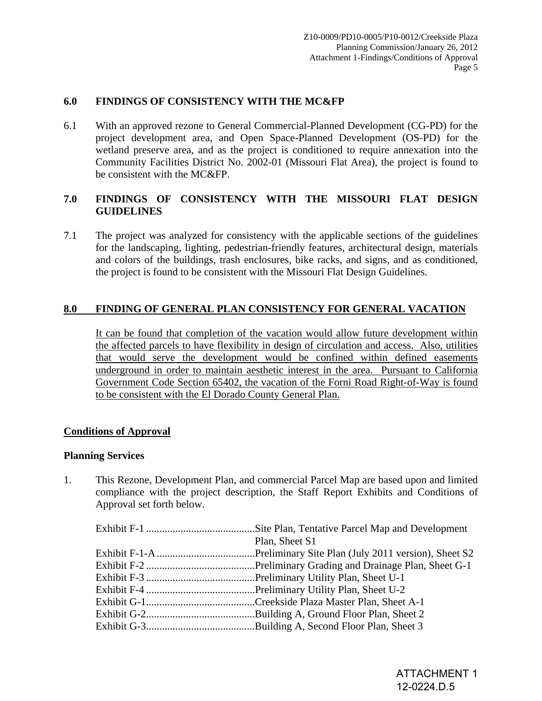## **6.0 FINDINGS OF CONSISTENCY WITH THE MC&FP**

6.1 With an approved rezone to General Commercial-Planned Development (CG-PD) for the project development area, and Open Space-Planned Development (OS-PD) for the wetland preserve area, and as the project is conditioned to require annexation into the Community Facilities District No. 2002-01 (Missouri Flat Area), the project is found to be consistent with the MC&FP.

# **7.0 FINDINGS OF CONSISTENCY WITH THE MISSOURI FLAT DESIGN GUIDELINES**

7.1 The project was analyzed for consistency with the applicable sections of the guidelines for the landscaping, lighting, pedestrian-friendly features, architectural design, materials and colors of the buildings, trash enclosures, bike racks, and signs, and as conditioned, the project is found to be consistent with the Missouri Flat Design Guidelines.

## **8.0 FINDING OF GENERAL PLAN CONSISTENCY FOR GENERAL VACATION**

It can be found that completion of the vacation would allow future development within the affected parcels to have flexibility in design of circulation and access. Also, utilities that would serve the development would be confined within defined easements underground in order to maintain aesthetic interest in the area. Pursuant to California Government Code Section 65402, the vacation of the Forni Road Right-of-Way is found to be consistent with the El Dorado County General Plan.

### **Conditions of Approval**

#### **Planning Services**

1. This Rezone, Development Plan, and commercial Parcel Map are based upon and limited compliance with the project description, the Staff Report Exhibits and Conditions of Approval set forth below.

| Plan, Sheet S1 |
|----------------|
|                |
|                |
|                |
|                |
|                |
|                |
|                |
|                |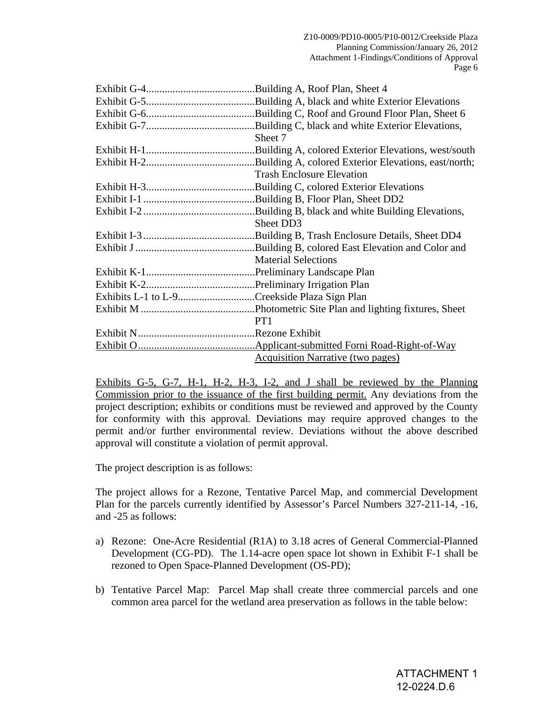|                                              | Sheet 7                                  |
|----------------------------------------------|------------------------------------------|
|                                              |                                          |
|                                              |                                          |
|                                              | <b>Trash Enclosure Elevation</b>         |
|                                              |                                          |
|                                              |                                          |
|                                              |                                          |
|                                              | Sheet DD3                                |
|                                              |                                          |
|                                              |                                          |
|                                              | <b>Material Selections</b>               |
|                                              |                                          |
|                                              |                                          |
| Exhibits L-1 to L-9Creekside Plaza Sign Plan |                                          |
|                                              |                                          |
|                                              | PT1                                      |
|                                              |                                          |
|                                              |                                          |
|                                              | <b>Acquisition Narrative (two pages)</b> |

 Exhibits G-5, G-7, H-1, H-2, H-3, I-2, and J shall be reviewed by the Planning Commission prior to the issuance of the first building permit. Any deviations from the project description; exhibits or conditions must be reviewed and approved by the County for conformity with this approval. Deviations may require approved changes to the permit and/or further environmental review. Deviations without the above described approval will constitute a violation of permit approval.

The project description is as follows:

The project allows for a Rezone, Tentative Parcel Map, and commercial Development Plan for the parcels currently identified by Assessor's Parcel Numbers 327-211-14, -16, and -25 as follows:

- a) Rezone: One-Acre Residential (R1A) to 3.18 acres of General Commercial-Planned Development (CG-PD). The 1.14-acre open space lot shown in Exhibit F-1 shall be rezoned to Open Space-Planned Development (OS-PD);
- b) Tentative Parcel Map:Parcel Map shall create three commercial parcels and one common area parcel for the wetland area preservation as follows in the table below: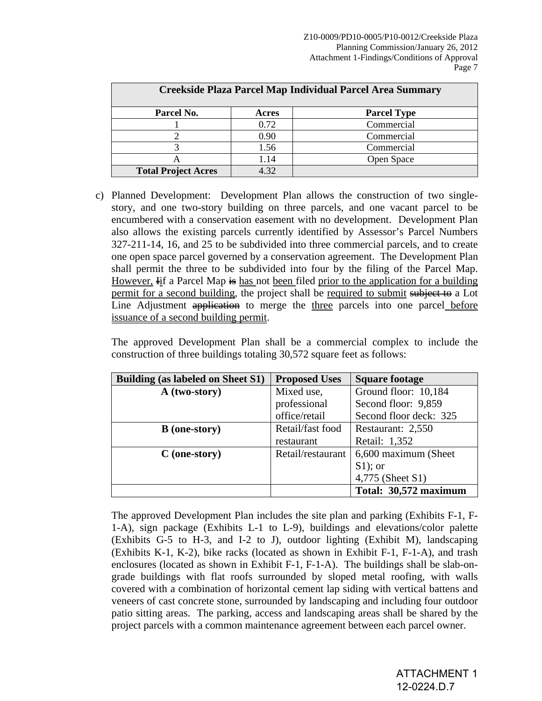| Creekside Plaza Parcel Map Individual Parcel Area Summary |       |                    |
|-----------------------------------------------------------|-------|--------------------|
| Parcel No.                                                | Acres | <b>Parcel Type</b> |
|                                                           | 0.72  | Commercial         |
|                                                           | 0.90  | Commercial         |
|                                                           | 1.56  | Commercial         |
|                                                           | 1.14  | Open Space         |
| <b>Total Project Acres</b>                                | 4.32  |                    |

c) Planned Development: Development Plan allows the construction of two singlestory, and one two-story building on three parcels, and one vacant parcel to be encumbered with a conservation easement with no development. Development Plan also allows the existing parcels currently identified by Assessor's Parcel Numbers 327-211-14, 16, and 25 to be subdivided into three commercial parcels, and to create one open space parcel governed by a conservation agreement. The Development Plan shall permit the three to be subdivided into four by the filing of the Parcel Map. However,  $\overline{H}$  if a Parcel Map  $\frac{1}{2}$  has not been filed prior to the application for a building permit for a second building, the project shall be required to submit subject to a Lot Line Adjustment application to merge the three parcels into one parcel before issuance of a second building permit.

The approved Development Plan shall be a commercial complex to include the construction of three buildings totaling 30,572 square feet as follows:

| <b>Building (as labeled on Sheet S1)</b> | <b>Proposed Uses</b> | <b>Square footage</b>  |
|------------------------------------------|----------------------|------------------------|
| A (two-story)                            | Mixed use,           | Ground floor: 10,184   |
|                                          | professional         | Second floor: 9,859    |
|                                          | office/retail        | Second floor deck: 325 |
| <b>B</b> (one-story)                     | Retail/fast food     | Restaurant: 2,550      |
|                                          | restaurant           | Retail: 1,352          |
| $C$ (one-story)                          | Retail/restaurant    | 6,600 maximum (Sheet   |
|                                          |                      | $S1$ ; or              |
|                                          |                      | 4,775 (Sheet S1)       |
|                                          |                      | Total: 30,572 maximum  |

 The approved Development Plan includes the site plan and parking (Exhibits F-1, F-1-A), sign package (Exhibits L-1 to L-9), buildings and elevations/color palette (Exhibits G-5 to H-3, and I-2 to J), outdoor lighting (Exhibit M), landscaping (Exhibits K-1, K-2), bike racks (located as shown in Exhibit F-1, F-1-A), and trash enclosures (located as shown in Exhibit F-1, F-1-A). The buildings shall be slab-ongrade buildings with flat roofs surrounded by sloped metal roofing, with walls covered with a combination of horizontal cement lap siding with vertical battens and veneers of cast concrete stone, surrounded by landscaping and including four outdoor patio sitting areas. The parking, access and landscaping areas shall be shared by the project parcels with a common maintenance agreement between each parcel owner.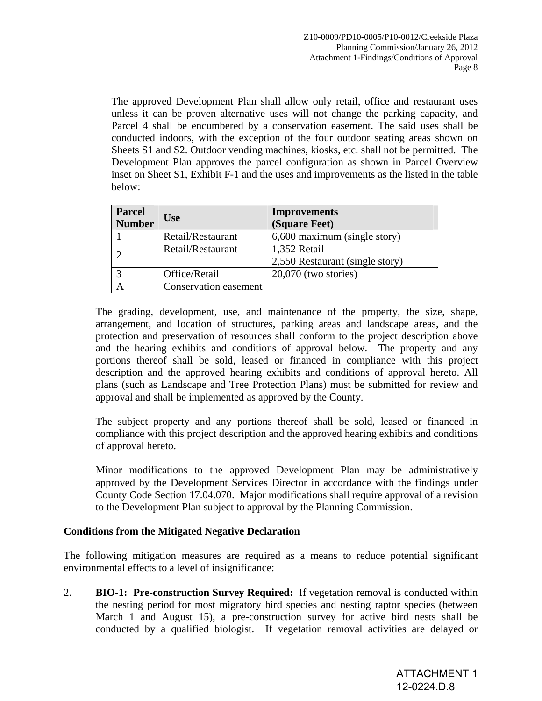The approved Development Plan shall allow only retail, office and restaurant uses unless it can be proven alternative uses will not change the parking capacity, and Parcel 4 shall be encumbered by a conservation easement. The said uses shall be conducted indoors, with the exception of the four outdoor seating areas shown on Sheets S1 and S2. Outdoor vending machines, kiosks, etc. shall not be permitted. The Development Plan approves the parcel configuration as shown in Parcel Overview inset on Sheet S1, Exhibit F-1 and the uses and improvements as the listed in the table below:

| Parcel<br><b>Number</b> | <b>Use</b>            | <b>Improvements</b><br>(Square Feet)            |
|-------------------------|-----------------------|-------------------------------------------------|
|                         | Retail/Restaurant     | 6,600 maximum (single story)                    |
|                         | Retail/Restaurant     | 1,352 Retail<br>2,550 Restaurant (single story) |
|                         | Office/Retail         | $20,070$ (two stories)                          |
|                         | Conservation easement |                                                 |

The grading, development, use, and maintenance of the property, the size, shape, arrangement, and location of structures, parking areas and landscape areas, and the protection and preservation of resources shall conform to the project description above and the hearing exhibits and conditions of approval below. The property and any portions thereof shall be sold, leased or financed in compliance with this project description and the approved hearing exhibits and conditions of approval hereto. All plans (such as Landscape and Tree Protection Plans) must be submitted for review and approval and shall be implemented as approved by the County.

The subject property and any portions thereof shall be sold, leased or financed in compliance with this project description and the approved hearing exhibits and conditions of approval hereto.

Minor modifications to the approved Development Plan may be administratively approved by the Development Services Director in accordance with the findings under County Code Section 17.04.070. Major modifications shall require approval of a revision to the Development Plan subject to approval by the Planning Commission.

# **Conditions from the Mitigated Negative Declaration**

The following mitigation measures are required as a means to reduce potential significant environmental effects to a level of insignificance:

2. **BIO-1: Pre-construction Survey Required:** If vegetation removal is conducted within the nesting period for most migratory bird species and nesting raptor species (between March 1 and August 15), a pre-construction survey for active bird nests shall be conducted by a qualified biologist. If vegetation removal activities are delayed or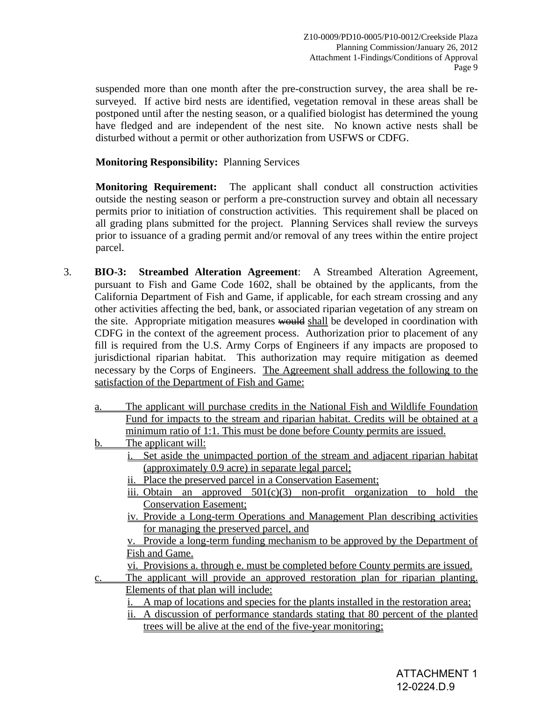suspended more than one month after the pre-construction survey, the area shall be resurveyed. If active bird nests are identified, vegetation removal in these areas shall be postponed until after the nesting season, or a qualified biologist has determined the young have fledged and are independent of the nest site. No known active nests shall be disturbed without a permit or other authorization from USFWS or CDFG.

# **Monitoring Responsibility:** Planning Services

**Monitoring Requirement:** The applicant shall conduct all construction activities outside the nesting season or perform a pre-construction survey and obtain all necessary permits prior to initiation of construction activities. This requirement shall be placed on all grading plans submitted for the project. Planning Services shall review the surveys prior to issuance of a grading permit and/or removal of any trees within the entire project parcel.

3. **BIO-3: Streambed Alteration Agreement**: A Streambed Alteration Agreement, pursuant to Fish and Game Code 1602, shall be obtained by the applicants, from the California Department of Fish and Game, if applicable, for each stream crossing and any other activities affecting the bed, bank, or associated riparian vegetation of any stream on the site. Appropriate mitigation measures would shall be developed in coordination with CDFG in the context of the agreement process. Authorization prior to placement of any fill is required from the U.S. Army Corps of Engineers if any impacts are proposed to jurisdictional riparian habitat. This authorization may require mitigation as deemed necessary by the Corps of Engineers. The Agreement shall address the following to the satisfaction of the Department of Fish and Game: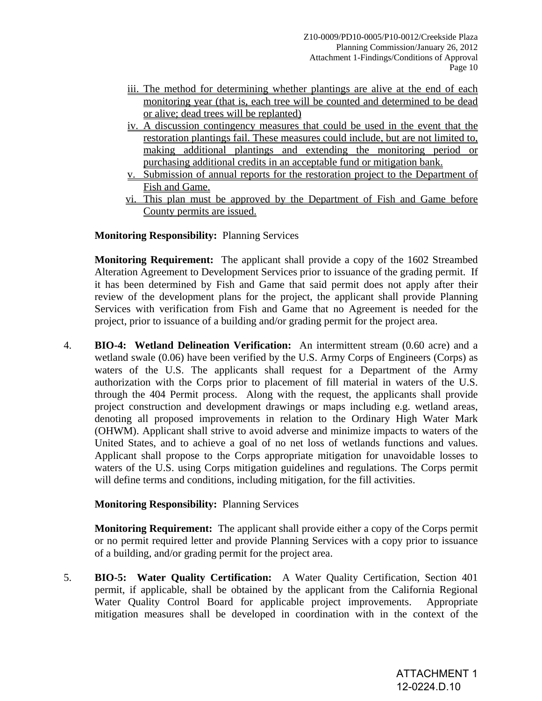- iii. The method for determining whether plantings are alive at the end of each monitoring year (that is, each tree will be counted and determined to be dead or alive; dead trees will be replanted)
- iv. A discussion contingency measures that could be used in the event that the restoration plantings fail. These measures could include, but are not limited to, making additional plantings and extending the monitoring period or purchasing additional credits in an acceptable fund or mitigation bank.
- v. Submission of annual reports for the restoration project to the Department of Fish and Game.
- vi. This plan must be approved by the Department of Fish and Game before County permits are issued.

# **Monitoring Responsibility:** Planning Services

**Monitoring Requirement:** The applicant shall provide a copy of the 1602 Streambed Alteration Agreement to Development Services prior to issuance of the grading permit. If it has been determined by Fish and Game that said permit does not apply after their review of the development plans for the project, the applicant shall provide Planning Services with verification from Fish and Game that no Agreement is needed for the project, prior to issuance of a building and/or grading permit for the project area.

4. **BIO-4: Wetland Delineation Verification:** An intermittent stream (0.60 acre) and a wetland swale (0.06) have been verified by the U.S. Army Corps of Engineers (Corps) as waters of the U.S. The applicants shall request for a Department of the Army authorization with the Corps prior to placement of fill material in waters of the U.S. through the 404 Permit process. Along with the request, the applicants shall provide project construction and development drawings or maps including e.g. wetland areas, denoting all proposed improvements in relation to the Ordinary High Water Mark (OHWM). Applicant shall strive to avoid adverse and minimize impacts to waters of the United States, and to achieve a goal of no net loss of wetlands functions and values. Applicant shall propose to the Corps appropriate mitigation for unavoidable losses to waters of the U.S. using Corps mitigation guidelines and regulations. The Corps permit will define terms and conditions, including mitigation, for the fill activities.

# **Monitoring Responsibility:** Planning Services

**Monitoring Requirement:** The applicant shall provide either a copy of the Corps permit or no permit required letter and provide Planning Services with a copy prior to issuance of a building, and/or grading permit for the project area.

5. **BIO-5: Water Quality Certification:** A Water Quality Certification, Section 401 permit, if applicable, shall be obtained by the applicant from the California Regional Water Quality Control Board for applicable project improvements. Appropriate mitigation measures shall be developed in coordination with in the context of the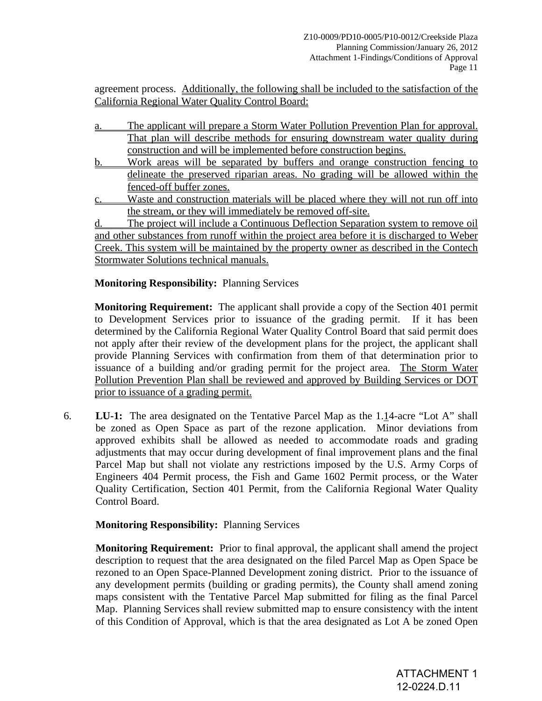agreement process. Additionally, the following shall be included to the satisfaction of the California Regional Water Quality Control Board:

- a. The applicant will prepare a Storm Water Pollution Prevention Plan for approval. That plan will describe methods for ensuring downstream water quality during construction and will be implemented before construction begins.
- b. Work areas will be separated by buffers and orange construction fencing to delineate the preserved riparian areas. No grading will be allowed within the fenced-off buffer zones.
- c. Waste and construction materials will be placed where they will not run off into the stream, or they will immediately be removed off-site.

 d. The project will include a Continuous Deflection Separation system to remove oil and other substances from runoff within the project area before it is discharged to Weber Creek. This system will be maintained by the property owner as described in the Contech Stormwater Solutions technical manuals.

# **Monitoring Responsibility:** Planning Services

**Monitoring Requirement:** The applicant shall provide a copy of the Section 401 permit to Development Services prior to issuance of the grading permit. If it has been determined by the California Regional Water Quality Control Board that said permit does not apply after their review of the development plans for the project, the applicant shall provide Planning Services with confirmation from them of that determination prior to issuance of a building and/or grading permit for the project area. The Storm Water Pollution Prevention Plan shall be reviewed and approved by Building Services or DOT prior to issuance of a grading permit.

6. **LU-1:** The area designated on the Tentative Parcel Map as the 1.14-acre "Lot A" shall be zoned as Open Space as part of the rezone application. Minor deviations from approved exhibits shall be allowed as needed to accommodate roads and grading adjustments that may occur during development of final improvement plans and the final Parcel Map but shall not violate any restrictions imposed by the U.S. Army Corps of Engineers 404 Permit process, the Fish and Game 1602 Permit process, or the Water Quality Certification, Section 401 Permit, from the California Regional Water Quality Control Board.

# **Monitoring Responsibility:** Planning Services

**Monitoring Requirement:** Prior to final approval, the applicant shall amend the project description to request that the area designated on the filed Parcel Map as Open Space be rezoned to an Open Space-Planned Development zoning district. Prior to the issuance of any development permits (building or grading permits), the County shall amend zoning maps consistent with the Tentative Parcel Map submitted for filing as the final Parcel Map. Planning Services shall review submitted map to ensure consistency with the intent of this Condition of Approval, which is that the area designated as Lot A be zoned Open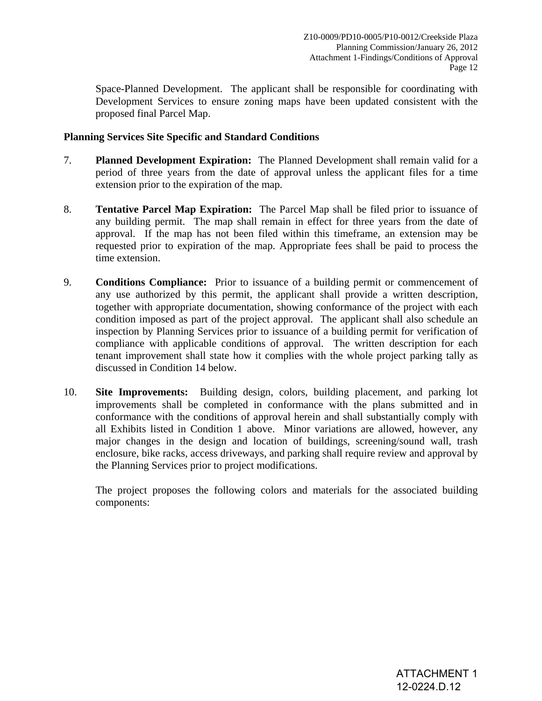Space-Planned Development. The applicant shall be responsible for coordinating with Development Services to ensure zoning maps have been updated consistent with the proposed final Parcel Map.

# **Planning Services Site Specific and Standard Conditions**

- 7. **Planned Development Expiration:** The Planned Development shall remain valid for a period of three years from the date of approval unless the applicant files for a time extension prior to the expiration of the map.
- 8. **Tentative Parcel Map Expiration:** The Parcel Map shall be filed prior to issuance of any building permit. The map shall remain in effect for three years from the date of approval. If the map has not been filed within this timeframe, an extension may be requested prior to expiration of the map. Appropriate fees shall be paid to process the time extension.
- 9. **Conditions Compliance:** Prior to issuance of a building permit or commencement of any use authorized by this permit, the applicant shall provide a written description, together with appropriate documentation, showing conformance of the project with each condition imposed as part of the project approval. The applicant shall also schedule an inspection by Planning Services prior to issuance of a building permit for verification of compliance with applicable conditions of approval. The written description for each tenant improvement shall state how it complies with the whole project parking tally as discussed in Condition 14 below.
- 10. **Site Improvements:** Building design, colors, building placement, and parking lot improvements shall be completed in conformance with the plans submitted and in conformance with the conditions of approval herein and shall substantially comply with all Exhibits listed in Condition 1 above. Minor variations are allowed, however, any major changes in the design and location of buildings, screening/sound wall, trash enclosure, bike racks, access driveways, and parking shall require review and approval by the Planning Services prior to project modifications.

The project proposes the following colors and materials for the associated building components: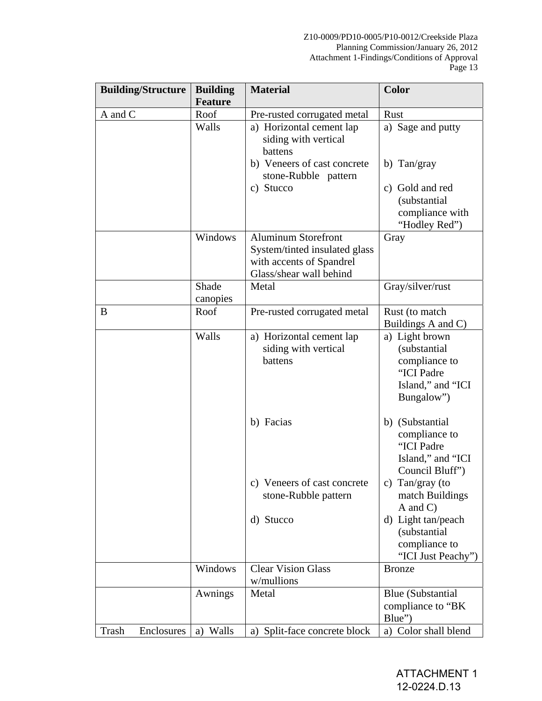#### Z10-0009/PD10-0005/P10-0012/Creekside Plaza Planning Commission/January 26, 2012 Attachment 1-Findings/Conditions of Approval Page 13

| <b>Building/Structure</b> | <b>Building</b>   | <b>Material</b>                                                                                             | <b>Color</b>                                                                                     |
|---------------------------|-------------------|-------------------------------------------------------------------------------------------------------------|--------------------------------------------------------------------------------------------------|
|                           | <b>Feature</b>    |                                                                                                             |                                                                                                  |
| A and C                   | Roof              | Pre-rusted corrugated metal                                                                                 | Rust                                                                                             |
|                           | Walls             | a) Horizontal cement lap<br>siding with vertical<br>battens<br>b) Veneers of cast concrete                  | a) Sage and putty<br>b) Tan/gray                                                                 |
|                           |                   | stone-Rubble pattern<br>c) Stucco                                                                           | c) Gold and red                                                                                  |
|                           |                   |                                                                                                             | (substantial<br>compliance with<br>"Hodley Red")                                                 |
|                           | Windows           | Aluminum Storefront<br>System/tinted insulated glass<br>with accents of Spandrel<br>Glass/shear wall behind | Gray                                                                                             |
|                           | Shade<br>canopies | Metal                                                                                                       | Gray/silver/rust                                                                                 |
| B                         | Roof              | Pre-rusted corrugated metal                                                                                 | Rust (to match<br>Buildings A and C)                                                             |
|                           | Walls             | a) Horizontal cement lap<br>siding with vertical<br>battens                                                 | a) Light brown<br>(substantial<br>compliance to<br>"ICI Padre<br>Island," and "ICI<br>Bungalow") |
|                           |                   | b) Facias                                                                                                   | b) (Substantial<br>compliance to<br>"ICI Padre<br>Island," and "ICI<br>Council Bluff")           |
|                           |                   | c) Veneers of cast concrete<br>stone-Rubble pattern                                                         | c) Tan/gray (to<br>match Buildings<br>$A$ and $C$ )                                              |
|                           |                   | d) Stucco                                                                                                   | d) Light tan/peach<br>(substantial<br>compliance to<br>"ICI Just Peachy")                        |
|                           | Windows           | <b>Clear Vision Glass</b><br>w/mullions                                                                     | <b>Bronze</b>                                                                                    |
|                           | Awnings           | Metal                                                                                                       | <b>Blue</b> (Substantial<br>compliance to "BK<br>Blue")                                          |
| Trash<br>Enclosures       | a) Walls          | a) Split-face concrete block                                                                                | a) Color shall blend                                                                             |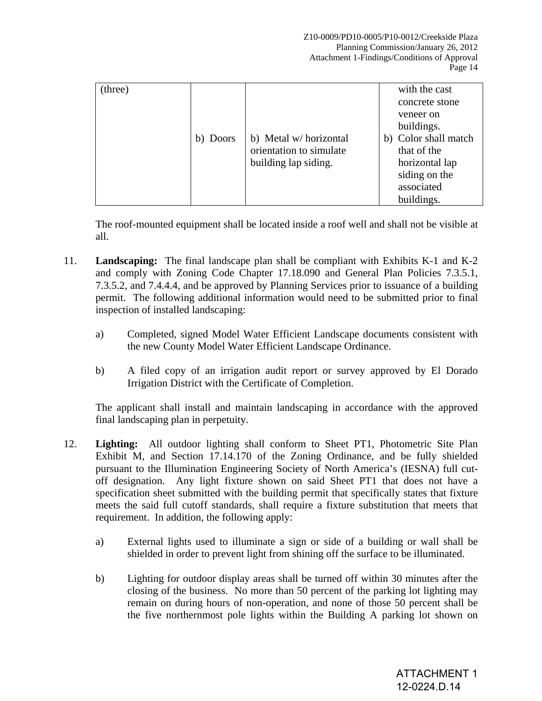| (three) |          |                         | with the cast        |
|---------|----------|-------------------------|----------------------|
|         |          |                         | concrete stone       |
|         |          |                         | veneer on            |
|         |          |                         | buildings.           |
|         | b) Doors | b) Metal w/horizontal   | b) Color shall match |
|         |          | orientation to simulate | that of the          |
|         |          | building lap siding.    | horizontal lap       |
|         |          |                         | siding on the        |
|         |          |                         | associated           |
|         |          |                         | buildings.           |

The roof-mounted equipment shall be located inside a roof well and shall not be visible at all.

- 11. **Landscaping:** The final landscape plan shall be compliant with Exhibits K-1 and K-2 and comply with Zoning Code Chapter 17.18.090 and General Plan Policies 7.3.5.1, 7.3.5.2, and 7.4.4.4, and be approved by Planning Services prior to issuance of a building permit. The following additional information would need to be submitted prior to final inspection of installed landscaping:
	- a) Completed, signed Model Water Efficient Landscape documents consistent with the new County Model Water Efficient Landscape Ordinance.
	- b) A filed copy of an irrigation audit report or survey approved by El Dorado Irrigation District with the Certificate of Completion.

 The applicant shall install and maintain landscaping in accordance with the approved final landscaping plan in perpetuity.

- 12. **Lighting:** All outdoor lighting shall conform to Sheet PT1, Photometric Site Plan Exhibit M, and Section 17.14.170 of the Zoning Ordinance, and be fully shielded pursuant to the Illumination Engineering Society of North America's (IESNA) full cutoff designation. Any light fixture shown on said Sheet PT1 that does not have a specification sheet submitted with the building permit that specifically states that fixture meets the said full cutoff standards, shall require a fixture substitution that meets that requirement. In addition, the following apply:
	- a) External lights used to illuminate a sign or side of a building or wall shall be shielded in order to prevent light from shining off the surface to be illuminated.
	- b) Lighting for outdoor display areas shall be turned off within 30 minutes after the closing of the business. No more than 50 percent of the parking lot lighting may remain on during hours of non-operation, and none of those 50 percent shall be the five northernmost pole lights within the Building A parking lot shown on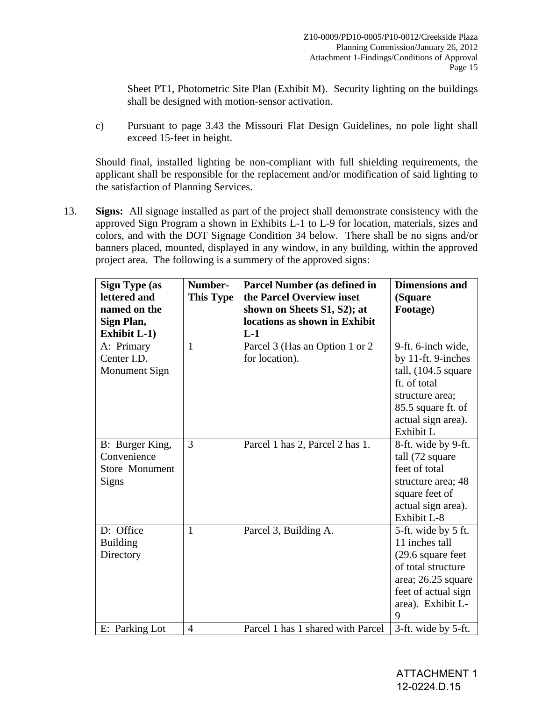Sheet PT1, Photometric Site Plan (Exhibit M). Security lighting on the buildings shall be designed with motion-sensor activation.

c) Pursuant to page 3.43 the Missouri Flat Design Guidelines, no pole light shall exceed 15-feet in height.

 Should final, installed lighting be non-compliant with full shielding requirements, the applicant shall be responsible for the replacement and/or modification of said lighting to the satisfaction of Planning Services.

13. **Signs:** All signage installed as part of the project shall demonstrate consistency with the approved Sign Program a shown in Exhibits L-1 to L-9 for location, materials, sizes and colors, and with the DOT Signage Condition 34 below. There shall be no signs and/or banners placed, mounted, displayed in any window, in any building, within the approved project area. The following is a summery of the approved signs:

| <b>Sign Type (as</b>  | Number-          | <b>Parcel Number (as defined in</b> | <b>Dimensions and</b>          |
|-----------------------|------------------|-------------------------------------|--------------------------------|
| lettered and          | <b>This Type</b> | the Parcel Overview inset           | (Square                        |
| named on the          |                  | shown on Sheets S1, S2); at         | Footage)                       |
| Sign Plan,            |                  | locations as shown in Exhibit       |                                |
| <b>Exhibit L-1)</b>   |                  | $L-1$                               |                                |
| A: Primary            | $\mathbf{1}$     | Parcel 3 (Has an Option 1 or 2)     | 9-ft. 6-inch wide,             |
| Center I.D.           |                  | for location).                      | by 11-ft. 9-inches             |
| <b>Monument Sign</b>  |                  |                                     | tall, $(104.5 \text{ square})$ |
|                       |                  |                                     | ft. of total                   |
|                       |                  |                                     | structure area;                |
|                       |                  |                                     | 85.5 square ft. of             |
|                       |                  |                                     | actual sign area).             |
|                       |                  |                                     | Exhibit L                      |
| B: Burger King,       | 3                | Parcel 1 has 2, Parcel 2 has 1.     | 8-ft. wide by 9-ft.            |
| Convenience           |                  |                                     | tall (72 square                |
| <b>Store Monument</b> |                  |                                     | feet of total                  |
| Signs                 |                  |                                     | structure area; 48             |
|                       |                  |                                     | square feet of                 |
|                       |                  |                                     | actual sign area).             |
|                       |                  |                                     | Exhibit L-8                    |
| D: Office             | $\mathbf{1}$     | Parcel 3, Building A.               | 5-ft. wide by 5 ft.            |
| <b>Building</b>       |                  |                                     | 11 inches tall                 |
| Directory             |                  |                                     | $(29.6 \text{ square feet})$   |
|                       |                  |                                     | of total structure             |
|                       |                  |                                     | area; 26.25 square             |
|                       |                  |                                     | feet of actual sign            |
|                       |                  |                                     | area). Exhibit L-              |
|                       |                  |                                     | 9                              |
| E: Parking Lot        | $\overline{4}$   | Parcel 1 has 1 shared with Parcel   | 3-ft. wide by 5-ft.            |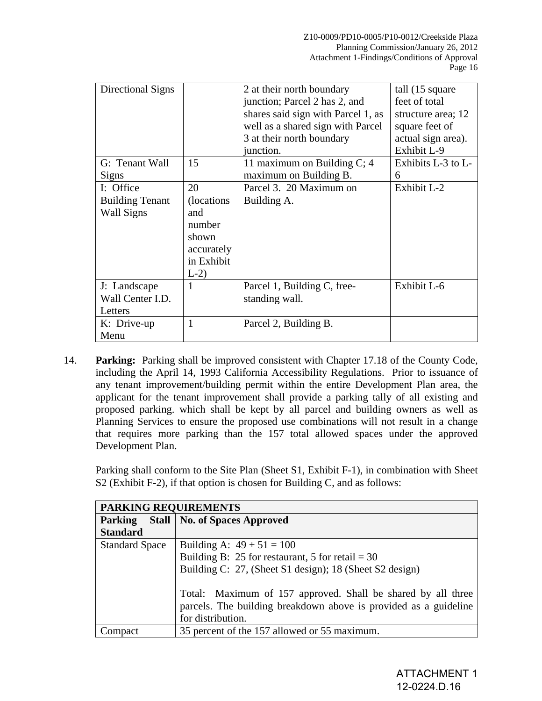| Directional Signs      |              | 2 at their north boundary<br>junction; Parcel 2 has 2, and<br>shares said sign with Parcel 1, as<br>well as a shared sign with Parcel<br>3 at their north boundary<br>junction. | tall (15 square)<br>feet of total<br>structure area; 12<br>square feet of<br>actual sign area).<br>Exhibit L-9 |
|------------------------|--------------|---------------------------------------------------------------------------------------------------------------------------------------------------------------------------------|----------------------------------------------------------------------------------------------------------------|
| G: Tenant Wall         | 15           | 11 maximum on Building $C$ ; 4                                                                                                                                                  | Exhibits L-3 to L-                                                                                             |
| <b>Signs</b>           |              | maximum on Building B.                                                                                                                                                          | 6                                                                                                              |
| I: Office              | 20           | Parcel 3. 20 Maximum on                                                                                                                                                         | Exhibit L-2                                                                                                    |
| <b>Building Tenant</b> | (locations)  | Building A.                                                                                                                                                                     |                                                                                                                |
| Wall Signs             | and          |                                                                                                                                                                                 |                                                                                                                |
|                        | number       |                                                                                                                                                                                 |                                                                                                                |
|                        | shown        |                                                                                                                                                                                 |                                                                                                                |
|                        | accurately   |                                                                                                                                                                                 |                                                                                                                |
|                        | in Exhibit   |                                                                                                                                                                                 |                                                                                                                |
|                        | $L-2$        |                                                                                                                                                                                 |                                                                                                                |
| J: Landscape           | 1            | Parcel 1, Building C, free-                                                                                                                                                     | Exhibit L-6                                                                                                    |
| Wall Center I.D.       |              | standing wall.                                                                                                                                                                  |                                                                                                                |
| Letters                |              |                                                                                                                                                                                 |                                                                                                                |
| K: Drive-up            | $\mathbf{1}$ | Parcel 2, Building B.                                                                                                                                                           |                                                                                                                |
| Menu                   |              |                                                                                                                                                                                 |                                                                                                                |

14. **Parking:** Parking shall be improved consistent with Chapter 17.18 of the County Code, including the April 14, 1993 California Accessibility Regulations. Prior to issuance of any tenant improvement/building permit within the entire Development Plan area, the applicant for the tenant improvement shall provide a parking tally of all existing and proposed parking. which shall be kept by all parcel and building owners as well as Planning Services to ensure the proposed use combinations will not result in a change that requires more parking than the 157 total allowed spaces under the approved Development Plan.

Parking shall conform to the Site Plan (Sheet S1, Exhibit F-1), in combination with Sheet S2 (Exhibit F-2), if that option is chosen for Building C, and as follows:

| PARKING REQUIREMENTS  |                                                                                                                                                       |
|-----------------------|-------------------------------------------------------------------------------------------------------------------------------------------------------|
| <b>Parking</b>        | <b>Stall   No. of Spaces Approved</b>                                                                                                                 |
| <b>Standard</b>       |                                                                                                                                                       |
| <b>Standard Space</b> | Building A: $49 + 51 = 100$                                                                                                                           |
|                       | Building B: 25 for restaurant, 5 for retail = $30$                                                                                                    |
|                       | Building C: 27, (Sheet S1 design); 18 (Sheet S2 design)                                                                                               |
|                       | Total: Maximum of 157 approved. Shall be shared by all three<br>parcels. The building breakdown above is provided as a guideline<br>for distribution. |
| 'omnact               | 35 percent of the 157 allowed or 55 maximum.                                                                                                          |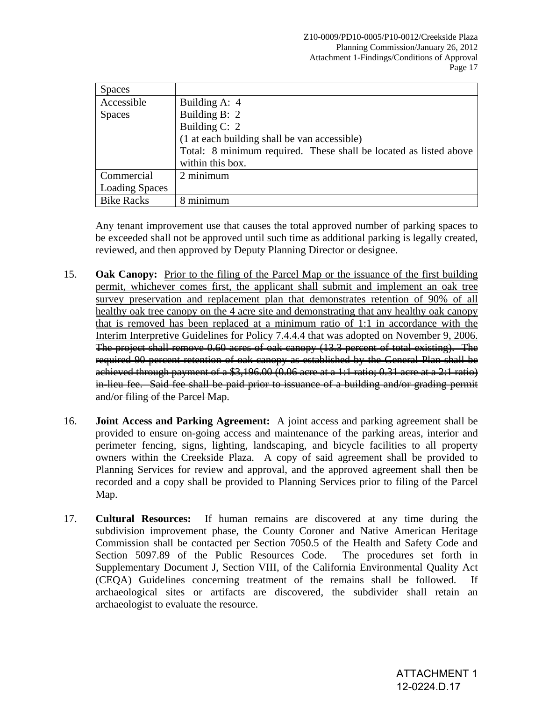| <b>Spaces</b>         |                                                                   |
|-----------------------|-------------------------------------------------------------------|
| Accessible            | Building A: 4                                                     |
| <b>Spaces</b>         | Building B: 2                                                     |
|                       | Building C: 2                                                     |
|                       | (1 at each building shall be van accessible)                      |
|                       | Total: 8 minimum required. These shall be located as listed above |
|                       | within this box.                                                  |
| Commercial            | 2 minimum                                                         |
| <b>Loading Spaces</b> |                                                                   |
| <b>Bike Racks</b>     | minimum                                                           |

 Any tenant improvement use that causes the total approved number of parking spaces to be exceeded shall not be approved until such time as additional parking is legally created, reviewed, and then approved by Deputy Planning Director or designee.

- 15. **Oak Canopy:** Prior to the filing of the Parcel Map or the issuance of the first building permit, whichever comes first, the applicant shall submit and implement an oak tree survey preservation and replacement plan that demonstrates retention of 90% of all healthy oak tree canopy on the 4 acre site and demonstrating that any healthy oak canopy that is removed has been replaced at a minimum ratio of 1:1 in accordance with the Interim Interpretive Guidelines for Policy 7.4.4.4 that was adopted on November 9, 2006. The project shall remove 0.60 acres of oak canopy (13.3 percent of total existing). The required 90 percent retention of oak canopy as established by the General Plan shall be achieved through payment of a \$3,196.00 (0.06 acre at a 1:1 ratio; 0.31 acre at a 2:1 ratio) in-lieu fee. Said fee shall be paid prior to issuance of a building and/or grading permit and/or filing of the Parcel Map.
- 16. **Joint Access and Parking Agreement:** A joint access and parking agreement shall be provided to ensure on-going access and maintenance of the parking areas, interior and perimeter fencing, signs, lighting, landscaping, and bicycle facilities to all property owners within the Creekside Plaza. A copy of said agreement shall be provided to Planning Services for review and approval, and the approved agreement shall then be recorded and a copy shall be provided to Planning Services prior to filing of the Parcel Map.
- 17. **Cultural Resources:** If human remains are discovered at any time during the subdivision improvement phase, the County Coroner and Native American Heritage Commission shall be contacted per Section 7050.5 of the Health and Safety Code and Section 5097.89 of the Public Resources Code. The procedures set forth in Supplementary Document J, Section VIII, of the California Environmental Quality Act (CEQA) Guidelines concerning treatment of the remains shall be followed. If archaeological sites or artifacts are discovered, the subdivider shall retain an archaeologist to evaluate the resource.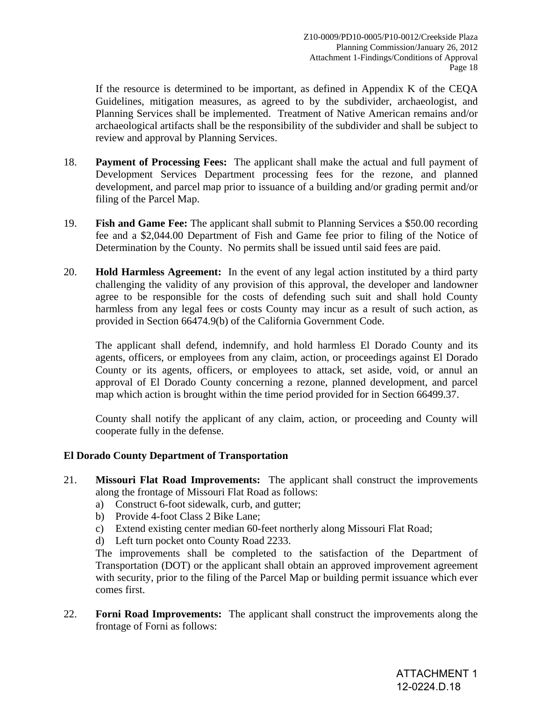If the resource is determined to be important, as defined in Appendix K of the CEQA Guidelines, mitigation measures, as agreed to by the subdivider, archaeologist, and Planning Services shall be implemented. Treatment of Native American remains and/or archaeological artifacts shall be the responsibility of the subdivider and shall be subject to review and approval by Planning Services.

- 18. **Payment of Processing Fees:** The applicant shall make the actual and full payment of Development Services Department processing fees for the rezone, and planned development, and parcel map prior to issuance of a building and/or grading permit and/or filing of the Parcel Map.
- 19. **Fish and Game Fee:** The applicant shall submit to Planning Services a \$50.00 recording fee and a \$2,044.00 Department of Fish and Game fee prior to filing of the Notice of Determination by the County. No permits shall be issued until said fees are paid.
- 20. **Hold Harmless Agreement:** In the event of any legal action instituted by a third party challenging the validity of any provision of this approval, the developer and landowner agree to be responsible for the costs of defending such suit and shall hold County harmless from any legal fees or costs County may incur as a result of such action, as provided in Section 66474.9(b) of the California Government Code.

The applicant shall defend, indemnify, and hold harmless El Dorado County and its agents, officers, or employees from any claim, action, or proceedings against El Dorado County or its agents, officers, or employees to attack, set aside, void, or annul an approval of El Dorado County concerning a rezone, planned development, and parcel map which action is brought within the time period provided for in Section 66499.37.

County shall notify the applicant of any claim, action, or proceeding and County will cooperate fully in the defense.

# **El Dorado County Department of Transportation**

- 21. **Missouri Flat Road Improvements:** The applicant shall construct the improvements along the frontage of Missouri Flat Road as follows:
	- a) Construct 6-foot sidewalk, curb, and gutter;
	- b) Provide 4-foot Class 2 Bike Lane;
	- c) Extend existing center median 60-feet northerly along Missouri Flat Road;
	- d) Left turn pocket onto County Road 2233.

The improvements shall be completed to the satisfaction of the Department of Transportation (DOT) or the applicant shall obtain an approved improvement agreement with security, prior to the filing of the Parcel Map or building permit issuance which ever comes first.

22. **Forni Road Improvements:** The applicant shall construct the improvements along the frontage of Forni as follows: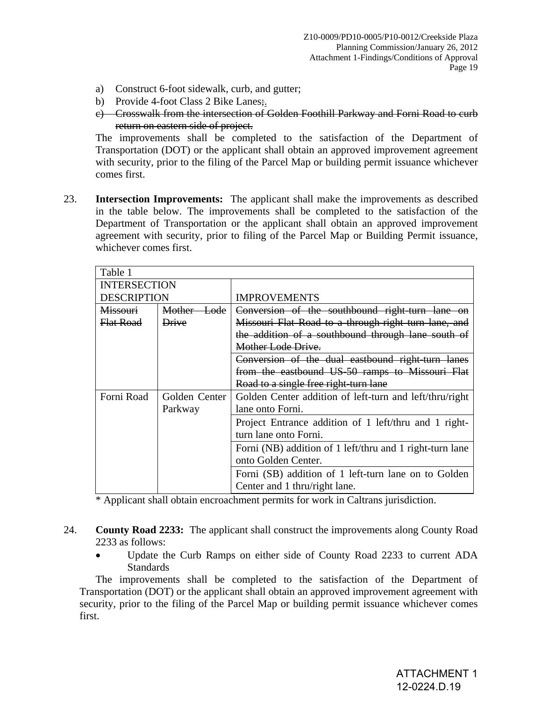- a) Construct 6-foot sidewalk, curb, and gutter;
- b) Provide 4-foot Class 2 Bike Lanes;
- c) Crosswalk from the intersection of Golden Foothill Parkway and Forni Road to curb return on eastern side of project.

The improvements shall be completed to the satisfaction of the Department of Transportation (DOT) or the applicant shall obtain an approved improvement agreement with security, prior to the filing of the Parcel Map or building permit issuance whichever comes first.

23. **Intersection Improvements:** The applicant shall make the improvements as described in the table below. The improvements shall be completed to the satisfaction of the Department of Transportation or the applicant shall obtain an approved improvement agreement with security, prior to filing of the Parcel Map or Building Permit issuance, whichever comes first.

| Table 1             |               |                                                          |  |  |
|---------------------|---------------|----------------------------------------------------------|--|--|
| <b>INTERSECTION</b> |               |                                                          |  |  |
| <b>DESCRIPTION</b>  |               | <b>IMPROVEMENTS</b>                                      |  |  |
| Missouri            | Mother Lode   | Conversion of the southbound right-turn lane on          |  |  |
| Flat Road           | <b>Drive</b>  | Missouri Flat Road to a through-right turn lane, and     |  |  |
|                     |               | the addition of a southbound through lane south of       |  |  |
|                     |               | Mother Lode Drive.                                       |  |  |
|                     |               | Conversion of the dual eastbound right-turn lanes        |  |  |
|                     |               | from the eastbound US-50 ramps to Missouri Flat          |  |  |
|                     |               | Road to a single free right-turn lane                    |  |  |
| Forni Road          | Golden Center | Golden Center addition of left-turn and left/thru/right  |  |  |
|                     | Parkway       | lane onto Forni.                                         |  |  |
|                     |               | Project Entrance addition of 1 left/thru and 1 right-    |  |  |
|                     |               | turn lane onto Forni.                                    |  |  |
|                     |               | Forni (NB) addition of 1 left/thru and 1 right-turn lane |  |  |
|                     |               | onto Golden Center.                                      |  |  |
|                     |               | Forni (SB) addition of 1 left-turn lane on to Golden     |  |  |
|                     |               | Center and 1 thru/right lane.                            |  |  |

\* Applicant shall obtain encroachment permits for work in Caltrans jurisdiction.

- 24. **County Road 2233:** The applicant shall construct the improvements along County Road 2233 as follows:
	- Update the Curb Ramps on either side of County Road 2233 to current ADA Standards

 The improvements shall be completed to the satisfaction of the Department of Transportation (DOT) or the applicant shall obtain an approved improvement agreement with security, prior to the filing of the Parcel Map or building permit issuance whichever comes first.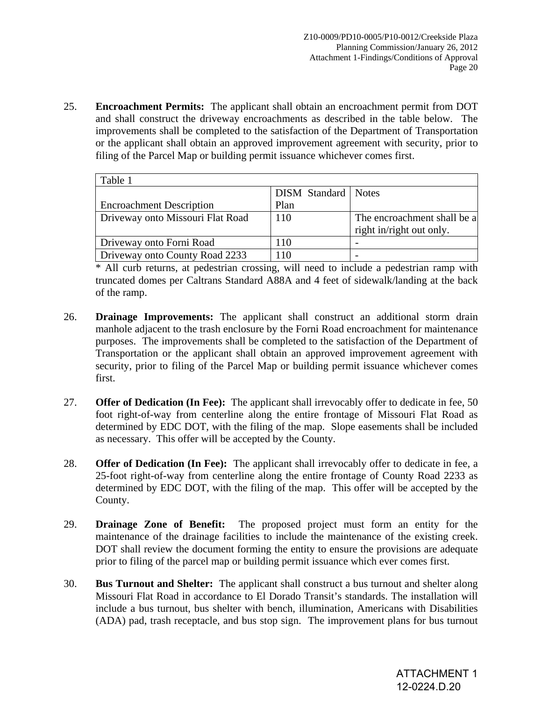25. **Encroachment Permits:** The applicant shall obtain an encroachment permit from DOT and shall construct the driveway encroachments as described in the table below. The improvements shall be completed to the satisfaction of the Department of Transportation or the applicant shall obtain an approved improvement agreement with security, prior to filing of the Parcel Map or building permit issuance whichever comes first.

| Table 1                          |                              |                             |  |  |
|----------------------------------|------------------------------|-----------------------------|--|--|
|                                  | <b>DISM</b> Standard   Notes |                             |  |  |
| <b>Encroachment Description</b>  | Plan                         |                             |  |  |
| Driveway onto Missouri Flat Road | 110                          | The encroachment shall be a |  |  |
|                                  |                              | right in/right out only.    |  |  |
| Driveway onto Forni Road         | 110                          |                             |  |  |
| Driveway onto County Road 2233   | 110                          |                             |  |  |

\* All curb returns, at pedestrian crossing, will need to include a pedestrian ramp with truncated domes per Caltrans Standard A88A and 4 feet of sidewalk/landing at the back of the ramp.

- 26. **Drainage Improvements:** The applicant shall construct an additional storm drain manhole adjacent to the trash enclosure by the Forni Road encroachment for maintenance purposes. The improvements shall be completed to the satisfaction of the Department of Transportation or the applicant shall obtain an approved improvement agreement with security, prior to filing of the Parcel Map or building permit issuance whichever comes first.
- 27. **Offer of Dedication (In Fee):** The applicant shall irrevocably offer to dedicate in fee, 50 foot right-of-way from centerline along the entire frontage of Missouri Flat Road as determined by EDC DOT, with the filing of the map. Slope easements shall be included as necessary. This offer will be accepted by the County.
- 28. **Offer of Dedication (In Fee):** The applicant shall irrevocably offer to dedicate in fee, a 25-foot right-of-way from centerline along the entire frontage of County Road 2233 as determined by EDC DOT, with the filing of the map. This offer will be accepted by the County.
- 29. **Drainage Zone of Benefit:** The proposed project must form an entity for the maintenance of the drainage facilities to include the maintenance of the existing creek. DOT shall review the document forming the entity to ensure the provisions are adequate prior to filing of the parcel map or building permit issuance which ever comes first.
- 30. **Bus Turnout and Shelter:** The applicant shall construct a bus turnout and shelter along Missouri Flat Road in accordance to El Dorado Transit's standards. The installation will include a bus turnout, bus shelter with bench, illumination, Americans with Disabilities (ADA) pad, trash receptacle, and bus stop sign. The improvement plans for bus turnout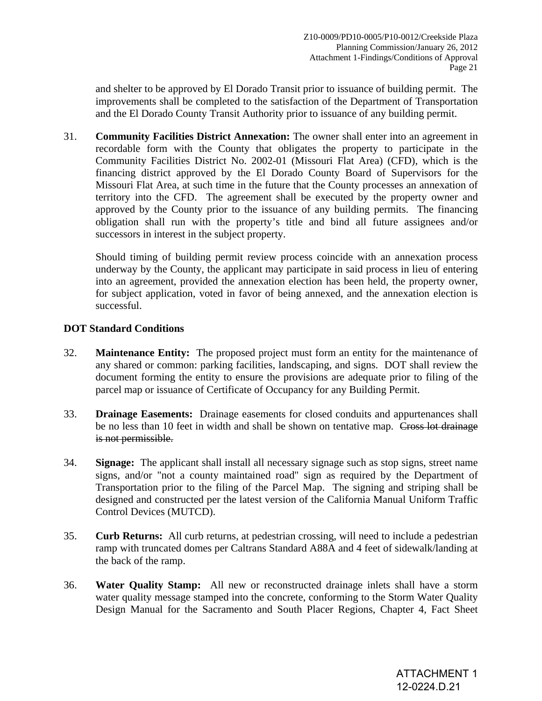and shelter to be approved by El Dorado Transit prior to issuance of building permit. The improvements shall be completed to the satisfaction of the Department of Transportation and the El Dorado County Transit Authority prior to issuance of any building permit.

31. **Community Facilities District Annexation:** The owner shall enter into an agreement in recordable form with the County that obligates the property to participate in the Community Facilities District No. 2002-01 (Missouri Flat Area) (CFD), which is the financing district approved by the El Dorado County Board of Supervisors for the Missouri Flat Area, at such time in the future that the County processes an annexation of territory into the CFD. The agreement shall be executed by the property owner and approved by the County prior to the issuance of any building permits. The financing obligation shall run with the property's title and bind all future assignees and/or successors in interest in the subject property.

Should timing of building permit review process coincide with an annexation process underway by the County, the applicant may participate in said process in lieu of entering into an agreement, provided the annexation election has been held, the property owner, for subject application, voted in favor of being annexed, and the annexation election is successful.

# **DOT Standard Conditions**

- 32. **Maintenance Entity:** The proposed project must form an entity for the maintenance of any shared or common: parking facilities, landscaping, and signs. DOT shall review the document forming the entity to ensure the provisions are adequate prior to filing of the parcel map or issuance of Certificate of Occupancy for any Building Permit.
- 33. **Drainage Easements:** Drainage easements for closed conduits and appurtenances shall be no less than 10 feet in width and shall be shown on tentative map. Cross lot drainage is not permissible.
- 34. **Signage:** The applicant shall install all necessary signage such as stop signs, street name signs, and/or "not a county maintained road" sign as required by the Department of Transportation prior to the filing of the Parcel Map. The signing and striping shall be designed and constructed per the latest version of the California Manual Uniform Traffic Control Devices (MUTCD).
- 35. **Curb Returns:** All curb returns, at pedestrian crossing, will need to include a pedestrian ramp with truncated domes per Caltrans Standard A88A and 4 feet of sidewalk/landing at the back of the ramp.
- 36. **Water Quality Stamp:** All new or reconstructed drainage inlets shall have a storm water quality message stamped into the concrete, conforming to the Storm Water Quality Design Manual for the Sacramento and South Placer Regions, Chapter 4, Fact Sheet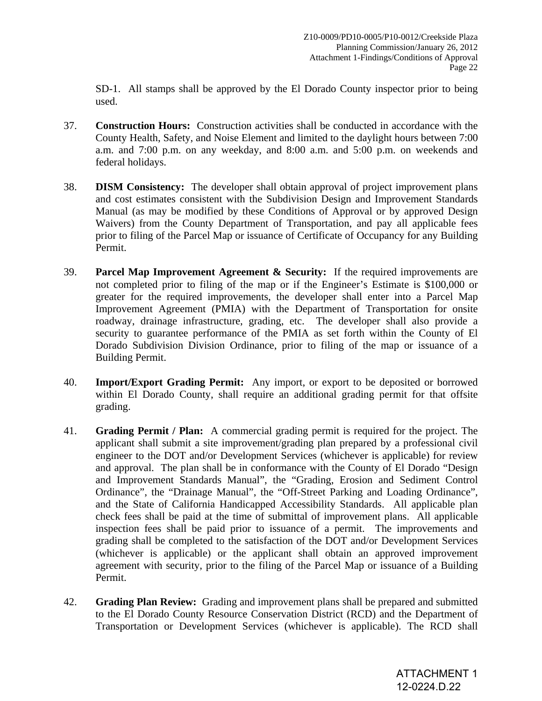SD-1. All stamps shall be approved by the El Dorado County inspector prior to being used.

- 37. **Construction Hours:** Construction activities shall be conducted in accordance with the County Health, Safety, and Noise Element and limited to the daylight hours between 7:00 a.m. and 7:00 p.m. on any weekday, and 8:00 a.m. and 5:00 p.m. on weekends and federal holidays.
- 38. **DISM Consistency:** The developer shall obtain approval of project improvement plans and cost estimates consistent with the Subdivision Design and Improvement Standards Manual (as may be modified by these Conditions of Approval or by approved Design Waivers) from the County Department of Transportation, and pay all applicable fees prior to filing of the Parcel Map or issuance of Certificate of Occupancy for any Building Permit.
- 39. **Parcel Map Improvement Agreement & Security:** If the required improvements are not completed prior to filing of the map or if the Engineer's Estimate is \$100,000 or greater for the required improvements, the developer shall enter into a Parcel Map Improvement Agreement (PMIA) with the Department of Transportation for onsite roadway, drainage infrastructure, grading, etc. The developer shall also provide a security to guarantee performance of the PMIA as set forth within the County of El Dorado Subdivision Division Ordinance, prior to filing of the map or issuance of a Building Permit.
- 40. **Import/Export Grading Permit:** Any import, or export to be deposited or borrowed within El Dorado County, shall require an additional grading permit for that offsite grading.
- 41. **Grading Permit / Plan:** A commercial grading permit is required for the project. The applicant shall submit a site improvement/grading plan prepared by a professional civil engineer to the DOT and/or Development Services (whichever is applicable) for review and approval. The plan shall be in conformance with the County of El Dorado "Design and Improvement Standards Manual", the "Grading, Erosion and Sediment Control Ordinance", the "Drainage Manual", the "Off-Street Parking and Loading Ordinance", and the State of California Handicapped Accessibility Standards. All applicable plan check fees shall be paid at the time of submittal of improvement plans. All applicable inspection fees shall be paid prior to issuance of a permit. The improvements and grading shall be completed to the satisfaction of the DOT and/or Development Services (whichever is applicable) or the applicant shall obtain an approved improvement agreement with security, prior to the filing of the Parcel Map or issuance of a Building Permit.
- 42. **Grading Plan Review:** Grading and improvement plans shall be prepared and submitted to the El Dorado County Resource Conservation District (RCD) and the Department of Transportation or Development Services (whichever is applicable). The RCD shall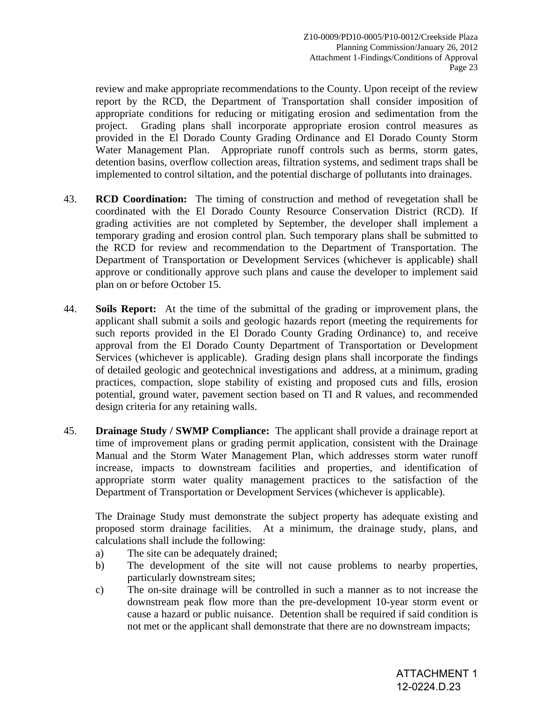review and make appropriate recommendations to the County. Upon receipt of the review report by the RCD, the Department of Transportation shall consider imposition of appropriate conditions for reducing or mitigating erosion and sedimentation from the project. Grading plans shall incorporate appropriate erosion control measures as provided in the El Dorado County Grading Ordinance and El Dorado County Storm Water Management Plan. Appropriate runoff controls such as berms, storm gates, detention basins, overflow collection areas, filtration systems, and sediment traps shall be implemented to control siltation, and the potential discharge of pollutants into drainages.

- 43. **RCD Coordination:** The timing of construction and method of revegetation shall be coordinated with the El Dorado County Resource Conservation District (RCD). If grading activities are not completed by September, the developer shall implement a temporary grading and erosion control plan. Such temporary plans shall be submitted to the RCD for review and recommendation to the Department of Transportation. The Department of Transportation or Development Services (whichever is applicable) shall approve or conditionally approve such plans and cause the developer to implement said plan on or before October 15.
- 44. **Soils Report:** At the time of the submittal of the grading or improvement plans, the applicant shall submit a soils and geologic hazards report (meeting the requirements for such reports provided in the El Dorado County Grading Ordinance) to, and receive approval from the El Dorado County Department of Transportation or Development Services (whichever is applicable). Grading design plans shall incorporate the findings of detailed geologic and geotechnical investigations and address, at a minimum, grading practices, compaction, slope stability of existing and proposed cuts and fills, erosion potential, ground water, pavement section based on TI and R values, and recommended design criteria for any retaining walls.
- 45. **Drainage Study / SWMP Compliance:** The applicant shall provide a drainage report at time of improvement plans or grading permit application, consistent with the Drainage Manual and the Storm Water Management Plan, which addresses storm water runoff increase, impacts to downstream facilities and properties, and identification of appropriate storm water quality management practices to the satisfaction of the Department of Transportation or Development Services (whichever is applicable).

The Drainage Study must demonstrate the subject property has adequate existing and proposed storm drainage facilities. At a minimum, the drainage study, plans, and calculations shall include the following:

- a) The site can be adequately drained;
- b) The development of the site will not cause problems to nearby properties, particularly downstream sites;
- c) The on-site drainage will be controlled in such a manner as to not increase the downstream peak flow more than the pre-development 10-year storm event or cause a hazard or public nuisance. Detention shall be required if said condition is not met or the applicant shall demonstrate that there are no downstream impacts;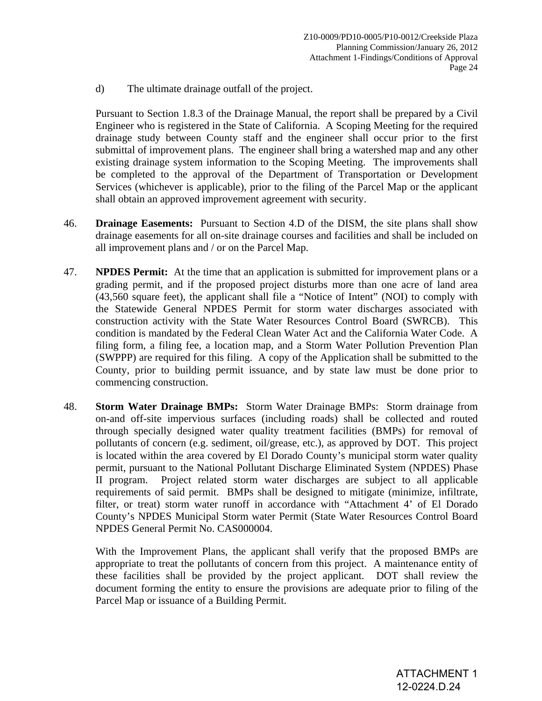d) The ultimate drainage outfall of the project.

Pursuant to Section 1.8.3 of the Drainage Manual, the report shall be prepared by a Civil Engineer who is registered in the State of California. A Scoping Meeting for the required drainage study between County staff and the engineer shall occur prior to the first submittal of improvement plans. The engineer shall bring a watershed map and any other existing drainage system information to the Scoping Meeting. The improvements shall be completed to the approval of the Department of Transportation or Development Services (whichever is applicable), prior to the filing of the Parcel Map or the applicant shall obtain an approved improvement agreement with security.

- 46. **Drainage Easements:** Pursuant to Section 4.D of the DISM, the site plans shall show drainage easements for all on-site drainage courses and facilities and shall be included on all improvement plans and / or on the Parcel Map.
- 47. **NPDES Permit:** At the time that an application is submitted for improvement plans or a grading permit, and if the proposed project disturbs more than one acre of land area (43,560 square feet), the applicant shall file a "Notice of Intent" (NOI) to comply with the Statewide General NPDES Permit for storm water discharges associated with construction activity with the State Water Resources Control Board (SWRCB). This condition is mandated by the Federal Clean Water Act and the California Water Code. A filing form, a filing fee, a location map, and a Storm Water Pollution Prevention Plan (SWPPP) are required for this filing. A copy of the Application shall be submitted to the County, prior to building permit issuance, and by state law must be done prior to commencing construction.
- 48. **Storm Water Drainage BMPs:** Storm Water Drainage BMPs: Storm drainage from on-and off-site impervious surfaces (including roads) shall be collected and routed through specially designed water quality treatment facilities (BMPs) for removal of pollutants of concern (e.g. sediment, oil/grease, etc.), as approved by DOT. This project is located within the area covered by El Dorado County's municipal storm water quality permit, pursuant to the National Pollutant Discharge Eliminated System (NPDES) Phase II program. Project related storm water discharges are subject to all applicable requirements of said permit. BMPs shall be designed to mitigate (minimize, infiltrate, filter, or treat) storm water runoff in accordance with "Attachment 4' of El Dorado County's NPDES Municipal Storm water Permit (State Water Resources Control Board NPDES General Permit No. CAS000004.

With the Improvement Plans, the applicant shall verify that the proposed BMPs are appropriate to treat the pollutants of concern from this project. A maintenance entity of these facilities shall be provided by the project applicant. DOT shall review the document forming the entity to ensure the provisions are adequate prior to filing of the Parcel Map or issuance of a Building Permit.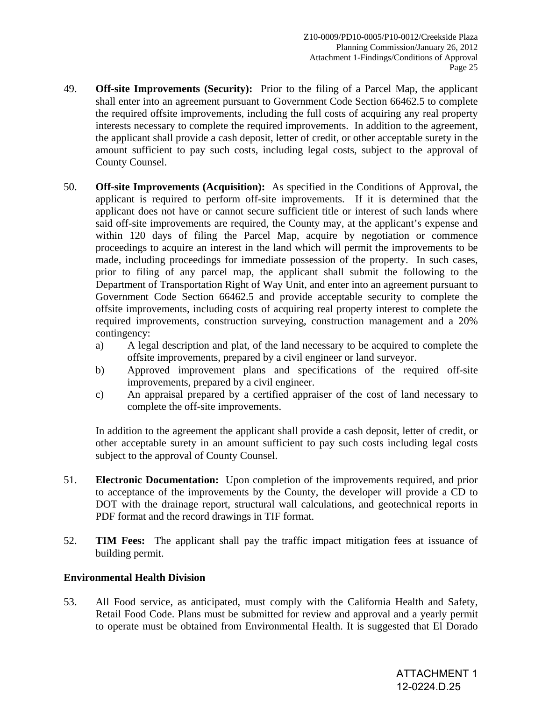- 49. **Off-site Improvements (Security):** Prior to the filing of a Parcel Map, the applicant shall enter into an agreement pursuant to Government Code Section 66462.5 to complete the required offsite improvements, including the full costs of acquiring any real property interests necessary to complete the required improvements. In addition to the agreement, the applicant shall provide a cash deposit, letter of credit, or other acceptable surety in the amount sufficient to pay such costs, including legal costs, subject to the approval of County Counsel.
- 50. **Off-site Improvements (Acquisition):** As specified in the Conditions of Approval, the applicant is required to perform off-site improvements. If it is determined that the applicant does not have or cannot secure sufficient title or interest of such lands where said off-site improvements are required, the County may, at the applicant's expense and within 120 days of filing the Parcel Map, acquire by negotiation or commence proceedings to acquire an interest in the land which will permit the improvements to be made, including proceedings for immediate possession of the property. In such cases, prior to filing of any parcel map, the applicant shall submit the following to the Department of Transportation Right of Way Unit, and enter into an agreement pursuant to Government Code Section 66462.5 and provide acceptable security to complete the offsite improvements, including costs of acquiring real property interest to complete the required improvements, construction surveying, construction management and a 20% contingency:
	- a) A legal description and plat, of the land necessary to be acquired to complete the offsite improvements, prepared by a civil engineer or land surveyor.
	- b) Approved improvement plans and specifications of the required off-site improvements, prepared by a civil engineer.
	- c) An appraisal prepared by a certified appraiser of the cost of land necessary to complete the off-site improvements.

In addition to the agreement the applicant shall provide a cash deposit, letter of credit, or other acceptable surety in an amount sufficient to pay such costs including legal costs subject to the approval of County Counsel.

- 51. **Electronic Documentation:** Upon completion of the improvements required, and prior to acceptance of the improvements by the County, the developer will provide a CD to DOT with the drainage report, structural wall calculations, and geotechnical reports in PDF format and the record drawings in TIF format.
- 52. **TIM Fees:** The applicant shall pay the traffic impact mitigation fees at issuance of building permit.

# **Environmental Health Division**

53. All Food service, as anticipated, must comply with the California Health and Safety, Retail Food Code. Plans must be submitted for review and approval and a yearly permit to operate must be obtained from Environmental Health. It is suggested that El Dorado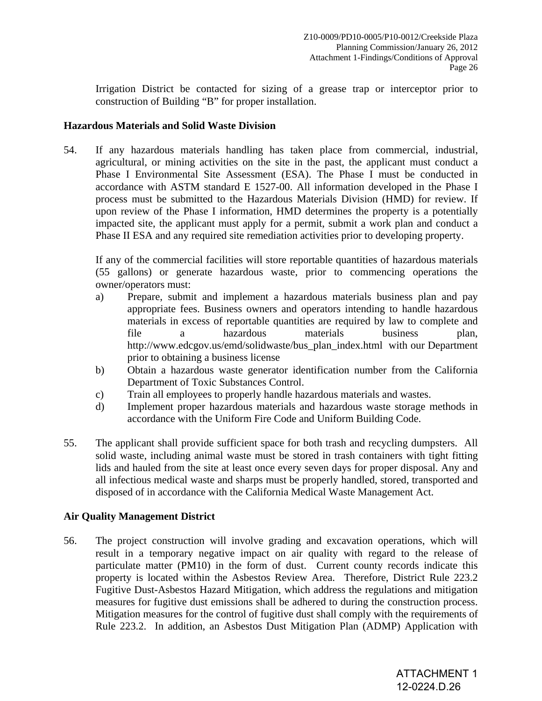Irrigation District be contacted for sizing of a grease trap or interceptor prior to construction of Building "B" for proper installation.

# **Hazardous Materials and Solid Waste Division**

54. If any hazardous materials handling has taken place from commercial, industrial, agricultural, or mining activities on the site in the past, the applicant must conduct a Phase I Environmental Site Assessment (ESA). The Phase I must be conducted in accordance with ASTM standard E 1527-00. All information developed in the Phase I process must be submitted to the Hazardous Materials Division (HMD) for review. If upon review of the Phase I information, HMD determines the property is a potentially impacted site, the applicant must apply for a permit, submit a work plan and conduct a Phase II ESA and any required site remediation activities prior to developing property.

 If any of the commercial facilities will store reportable quantities of hazardous materials (55 gallons) or generate hazardous waste, prior to commencing operations the owner/operators must:

- a) Prepare, submit and implement a hazardous materials business plan and pay appropriate fees. Business owners and operators intending to handle hazardous materials in excess of reportable quantities are required by law to complete and file a hazardous materials business plan, http://www.edcgov.us/emd/solidwaste/bus\_plan\_index.html with our Department prior to obtaining a business license
- b) Obtain a hazardous waste generator identification number from the California Department of Toxic Substances Control.
- c) Train all employees to properly handle hazardous materials and wastes.
- d) Implement proper hazardous materials and hazardous waste storage methods in accordance with the Uniform Fire Code and Uniform Building Code.
- 55. The applicant shall provide sufficient space for both trash and recycling dumpsters. All solid waste, including animal waste must be stored in trash containers with tight fitting lids and hauled from the site at least once every seven days for proper disposal. Any and all infectious medical waste and sharps must be properly handled, stored, transported and disposed of in accordance with the California Medical Waste Management Act.

# **Air Quality Management District**

56. The project construction will involve grading and excavation operations, which will result in a temporary negative impact on air quality with regard to the release of particulate matter (PM10) in the form of dust. Current county records indicate this property is located within the Asbestos Review Area. Therefore, District Rule 223.2 Fugitive Dust-Asbestos Hazard Mitigation, which address the regulations and mitigation measures for fugitive dust emissions shall be adhered to during the construction process. Mitigation measures for the control of fugitive dust shall comply with the requirements of Rule 223.2. In addition, an Asbestos Dust Mitigation Plan (ADMP) Application with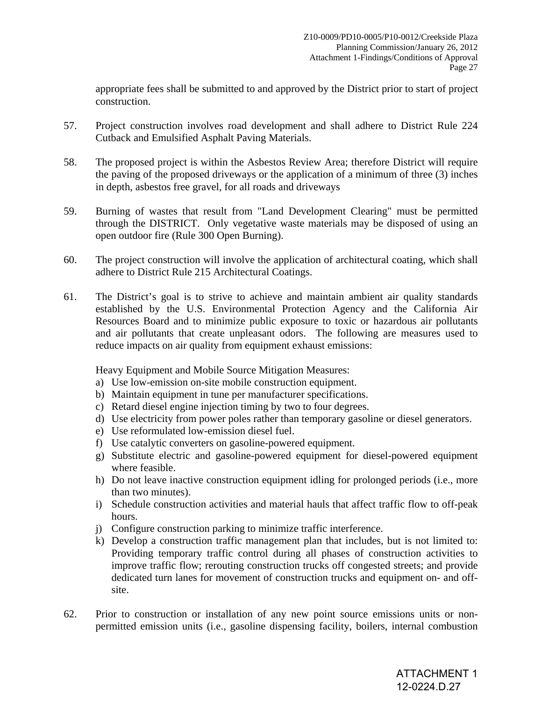appropriate fees shall be submitted to and approved by the District prior to start of project construction.

- 57. Project construction involves road development and shall adhere to District Rule 224 Cutback and Emulsified Asphalt Paving Materials.
- 58. The proposed project is within the Asbestos Review Area; therefore District will require the paving of the proposed driveways or the application of a minimum of three (3) inches in depth, asbestos free gravel, for all roads and driveways
- 59. Burning of wastes that result from "Land Development Clearing" must be permitted through the DISTRICT. Only vegetative waste materials may be disposed of using an open outdoor fire (Rule 300 Open Burning).
- 60. The project construction will involve the application of architectural coating, which shall adhere to District Rule 215 Architectural Coatings.
- 61. The District's goal is to strive to achieve and maintain ambient air quality standards established by the U.S. Environmental Protection Agency and the California Air Resources Board and to minimize public exposure to toxic or hazardous air pollutants and air pollutants that create unpleasant odors. The following are measures used to reduce impacts on air quality from equipment exhaust emissions:

Heavy Equipment and Mobile Source Mitigation Measures:

- a) Use low-emission on-site mobile construction equipment.
- b) Maintain equipment in tune per manufacturer specifications.
- c) Retard diesel engine injection timing by two to four degrees.
- d) Use electricity from power poles rather than temporary gasoline or diesel generators.
- e) Use reformulated low-emission diesel fuel.
- f) Use catalytic converters on gasoline-powered equipment.
- g) Substitute electric and gasoline-powered equipment for diesel-powered equipment where feasible.
- h) Do not leave inactive construction equipment idling for prolonged periods (i.e., more than two minutes).
- i) Schedule construction activities and material hauls that affect traffic flow to off-peak hours.
- j) Configure construction parking to minimize traffic interference.
- k) Develop a construction traffic management plan that includes, but is not limited to: Providing temporary traffic control during all phases of construction activities to improve traffic flow; rerouting construction trucks off congested streets; and provide dedicated turn lanes for movement of construction trucks and equipment on- and offsite.
- 62. Prior to construction or installation of any new point source emissions units or nonpermitted emission units (i.e., gasoline dispensing facility, boilers, internal combustion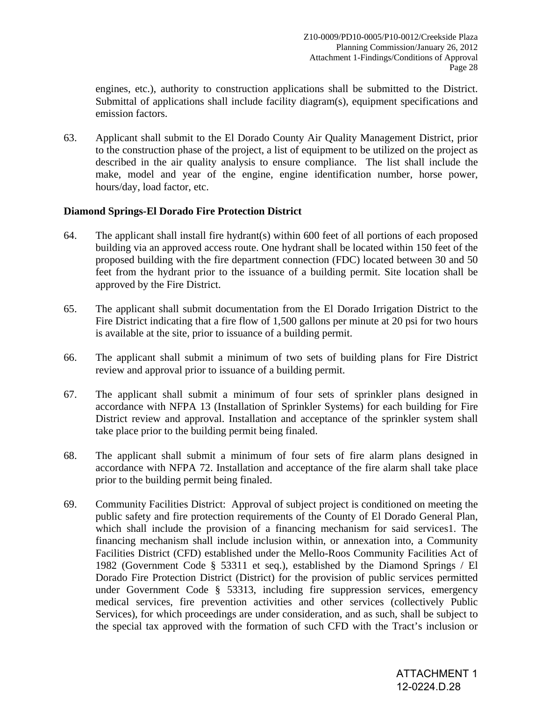engines, etc.), authority to construction applications shall be submitted to the District. Submittal of applications shall include facility diagram(s), equipment specifications and emission factors.

63. Applicant shall submit to the El Dorado County Air Quality Management District, prior to the construction phase of the project, a list of equipment to be utilized on the project as described in the air quality analysis to ensure compliance. The list shall include the make, model and year of the engine, engine identification number, horse power, hours/day, load factor, etc.

## **Diamond Springs-El Dorado Fire Protection District**

- 64. The applicant shall install fire hydrant(s) within 600 feet of all portions of each proposed building via an approved access route. One hydrant shall be located within 150 feet of the proposed building with the fire department connection (FDC) located between 30 and 50 feet from the hydrant prior to the issuance of a building permit. Site location shall be approved by the Fire District.
- 65. The applicant shall submit documentation from the El Dorado Irrigation District to the Fire District indicating that a fire flow of 1,500 gallons per minute at 20 psi for two hours is available at the site, prior to issuance of a building permit.
- 66. The applicant shall submit a minimum of two sets of building plans for Fire District review and approval prior to issuance of a building permit.
- 67. The applicant shall submit a minimum of four sets of sprinkler plans designed in accordance with NFPA 13 (Installation of Sprinkler Systems) for each building for Fire District review and approval. Installation and acceptance of the sprinkler system shall take place prior to the building permit being finaled.
- 68. The applicant shall submit a minimum of four sets of fire alarm plans designed in accordance with NFPA 72. Installation and acceptance of the fire alarm shall take place prior to the building permit being finaled.
- 69. Community Facilities District: Approval of subject project is conditioned on meeting the public safety and fire protection requirements of the County of El Dorado General Plan, which shall include the provision of a financing mechanism for said services1. The financing mechanism shall include inclusion within, or annexation into, a Community Facilities District (CFD) established under the Mello-Roos Community Facilities Act of 1982 (Government Code § 53311 et seq.), established by the Diamond Springs / El Dorado Fire Protection District (District) for the provision of public services permitted under Government Code § 53313, including fire suppression services, emergency medical services, fire prevention activities and other services (collectively Public Services), for which proceedings are under consideration, and as such, shall be subject to the special tax approved with the formation of such CFD with the Tract's inclusion or